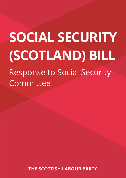# **SOCIAL SECURITY (SCOTLAND) BILL** Response to Social Security Committee

**THE SCOTTISH LABOUR PARTY**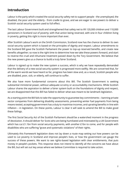#### **Introduction**

Labour is the party which created the social security safety net to support people - the unemployed, the disabled, the poor and the elderly - from cradle to grave, and we are eager to see powers to deliver a Scottish social security system used to full effect.

The last Labour Government built and strengthened that safety net to lift 120,000 children and 110,000 pensioners in Scotland out of poverty; with that action being reversed, with one in four children living in poverty, getting this right is more important than ever.

After Scottish Labour's work on the Smith Commission, Scotland now has the chance to deliver its own social security system which is based on the principles of dignity and respect. Labour amendments to the Scotland Bill gave the Scottish Parliament the power to top-up reserved benefits, and create new benefits altogether; so now is the right time to determine how we take these powers forward, and start to reverse the cruel and inhumane treatment passed down by the Tory Government. We believe that the new powers give us a chance to build a truly fairer Scotland.

Labour is signed up to make the new system a success, which is why we have repeatedly demanded that the delivery of a new social security system is progressed more swiftly. We are concerned that, for all the warm words we have heard so far, progress has been slow and, as a result, Scottish people who are disabled, poor, sick, or elderly, will continue to suffer.

We also have more fundamental concerns about this Bill. The Scottish Government is seeking substantial ministerial power, without adequate scrutiny or accountability mechanisms. While Scottish Labour shares the aspiration to deliver a fairer system built on the foundations of dignity and respect, we are disappointed that this Bill has failed to deliver what was meant to be landmark legislation.

As a starting point the Bill fails to take the opportunity to guarantee key commitments – banning private sector companies from delivering disability assessments, preventing winter fuel payments from being means-tested, accepting government has a duty to maximise incomes, and uprating benefits in line with inflation – in legislation. On these points, Labour is clear it will seek to amend the Bill to make good these failings.

The first Social Security Act of the Scottish Parliament *should* be a watershed moment in the progress of devolution. It should deliver for Scots who are being humiliated and mistreated by a UK Government which has cut £1.1bn from social security payments, with another £1bn to come, and for people with disabilities who are suffering "grave and systematic violations" of their rights.

Ultimately this framework legislation does not lay down a route map setting out how powers can be used to cut poverty in Scotland and improve people's lives, or how the government can gauge the success of these powers. We want to see rights-based legislation with clear entitlements, that puts money in people's pockets. This response does not intend to identify all the concerns we have about the Bill, but will set out key areas where we believe Committee is required to take action.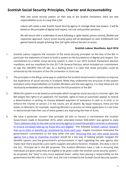#### **Scottish Social Security Principles, Charter and Accountability**

*With new social security powers on their way to the Scottish Parliament, there are new responsibilities to act in a way that is fair.* 

*Labour will create a new Scottish Social Security Agency to manage these new powers. It will be based on the principles of dignity and respect, not cuts and punitive sanctions.* 

*We will ensure that it undertakes its work following a rights-based, person-centred, flexible and responsive approach. Future social security policy will be developed on clear entitlements and geared towards people achieving their full rights without barriers to access.*

#### **Scottish Labour Manifesto, April 2016**

- 1. Scottish Labour supports the inclusion of the social security principles on the face of the Bill, in particular the statement of intent to build a system on the foundations of dignity and respect. Our commitment to a better social security system is clear in our 2016 Scottish Parliament election manifesto, and our manifesto for the 2017 UK General Election, which included our commitment to sign the UNCRPD into UK law. As a starting point it is clear that these principles could be enhanced by the inclusion of the UN convention in Scots law.
- 2. The principles in the Bill go some way to underline the Scottish Government's intention to improve the experience of social security in Scotland. While they underwrite the structure of the system and place some responsibilities on Scottish Ministers and the new agency, it is clear these are not necessarily embedded and reflected across the full provisions of the Bill.
- 3. While the system is to be based on principles which recognise social security is a human right, the Bill assigns few rights to an applicant. For example, rights to have an automatic appeal, to receive a determination in writing, to choose between payment of assistance in cash or in kind, or to enforce the Charter at section 2 in the courts, are all absent. By equal measure, there are few duties on Ministers; for example, requiring Minsters to process an initial application in a set time, or demonstrate how their use of these powers are improving the lives of Scots.
- 4. We have a particular concern that principle (d) fails to honour a commitment the Scottish Government made in November 2016, when amended motion S5M-02651 was agreed to state "[that a statutory duty on the new social security agency to maximise people's incomes is necessary](http://www.parliament.scot/parliamentarybusiness/report.aspx?r=10642&i=97834&c=1950720#ScotParlOR)  [to ensure increased take-up by those who are eligible](http://www.parliament.scot/parliamentarybusiness/report.aspx?r=10642&i=97834&c=1950720#ScotParlOR)". This followed Scottish Labour research [that up to £2bn in benefits go unclaimed by Scots each year.](https://stv.tv/news/politics/1376730-more-than-2bn-in-benefits-going-unclaimed-each-year/) Angela Constance reiterated the government's commitment to the duty when she said "[ensuring that our new social security](http://www.parliament.scot/parliamentarybusiness/report.aspx?r=10950&i=100124&c=2000192#ScotParlOR)  [agency has a duty to maximise incomes](http://www.parliament.scot/parliamentarybusiness/report.aspx?r=10950&i=100124&c=2000192#ScotParlOR)" would be a key way of helping people navigate the benefits system, and the government's announcement in April regarding the new agency also made clear there would be a pre-claims support and advice function. However, this duty is not in the Act. Principle (d) in the Bill proposes "the Scottish Ministers have a *role* in ensuring that individuals are given what they are eligible to be given under the Scottish social security system,". As proposed, the "duty" is very much watered down: rather than placing a responsibility on the government the Bill refers to a "role"; and, the role is limited to the Scottish Social Security system.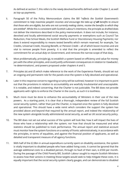As defined at section 7, this refers to the newly devolved benefits defined under Chapter 2, as well as top-up payments.

- 5. Paragraph 50 of the Policy Memorandum claims the Bill "*reflects the Scottish Government's commitment to help maximise people's incomes and encourage the take-up of all benefits to ensure that those who are eligible, but who are not currently making claims, receive the benefits to which they are entitled*". While this is consistent with Scottish Labour's intentions, the principle as drafted does not deliver the intentions described in the policy memorandum. It does not include, for instance, devolved and locally administered social security payments or exemptions such as Council Tax Reduction, Free School Meals, the Scottish Welfare Fund or Discretionary Housing Payments; nor does it extend responsibility to means tested benefits which remain reserved, for example, Tax Credits, Universal Credit, Housing Benefit, or Pension Credit – all of which boost incomes and are vital to remove people from poverty. It is vital that the principle is amended to reflect the commitment for an actual *duty* on Government, and removes the narrow scope of that duty.
- 6. Most problematically, principle (g), to establish a system based on efficiency and value for money jars with the other principles, and could justify unforeseen consequences in relation to 'clawbacks', 're-determinations', and powers proposed under chapters 4 and 5.
- 7. Principles (e) and (f) which make reference to the work of the Experience Panels, should set out an ongoing and permanent role for the panels once the system is fully devolved and operational.
- 8. Later in this response concerns regarding scrutiny will be outlined, however it is important to point out that the provisions in relation to accountability are woefully insubstantial and unacceptable. It is notable, and indeed concerning, that the Charter is not justiciable. The Bill does not provide applicants with rights to enforce the Charter in the courts, as such it is toothless.
- 9. Much more must be done to enhance the accountability of Ministers in their use of the new powers. As a starting point, it is clear that a thorough, independent review of the full Scottish social security system, rather than just the Charter, is required once the system is fully devolved and operational. This should have a wide remit which considers the support the system has provided above and beyond that required by the annual report, and indeed the relationship of the new system alongside locally administered social security, as well as UK social security policy.
- 10. The Bill does not set out what success of the system will look like; how it will impact the lives of those who have a relationship with the system; nor how that should be measured and what statistics should be published to track performance. The annual report and statistical account must monitor how the system functions on a variety of fronts: administratively, in accordance with the principles, in terms of equalities, and against the financial position of applicants, as well as detailed and transparent measure of all agency functions.
- 11. With half of the £2.8bn in annual expenditure currently spent on disability assistance, the system is vitally important to disabled people who have added living costs. It cannot be ignored that the average additional costs to a disabled person, through no fault of their own, is £550 per month. During the passage of the Child Poverty Bill, Scottish Labour sought to require Scottish Ministers to assess how their actions in meeting those targets would seek to help mitigate these costs. It is equally important that the social security system clearly gauges, and can demonstrate to disabled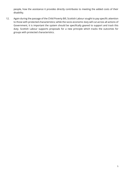people, how the assistance it provides directly contributes to meeting the added costs of their disability.

12. Again during the passage of the Child Poverty Bill, Scottish Labour sought to pay specific attention to those with protected characteristics; while the socio-economic duty will cut across all actions of Government, it is important the system should be specifically geared to support and track this duty. Scottish Labour supports proposals for a new principle which tracks the outcomes for groups with protected characteristics.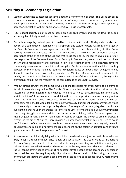### **Scrutiny & Secondary Legislation**

- 14. Scottish Labour has substantial concerns about this framework legislation. The Bill as proposed represents a concerning and substantial transfer of newly devolved social security powers and would place them in the hands of Ministers, who would be free to design a new system by secondary legislation without appropriate scrutiny. This is unacceptable.
- 15. Future social security policy must be based on clear entitlements and geared towards people achieving their full rights without barriers to access.
- 16. Crucially, when policy is developed, it should be scrutinised with the aid of independent and expert advice, by a committee established on a transparent and statutory basis. As a matter of urgency, the Scottish Government must agree to amend the Bill to establish a statutory Scottish Social Security Advisory Committee. This is vital to ensure that Ministers are delivering policy in accordance of the principles of the Bill, and that this is good policy; indeed, this would also reflect the responses of the Consultation on Social Security in Scotland. Any new committee must have an enhanced responsibility and standing in law to tie together better links between advisors, command government accountability and strengthen Parliament to ensure that advice is publicly debated. The committee should be required to regularly advise both Parliament and government; it should consider the decision making standards of Minsters; Ministers should be compelled to modify proposals in accordance with the recommendations of the committee; and, the legislative provisions should limit the freedom of the committee to choose not to advise.
- 17. Without strong scrutiny mechanisms, it would be inappropriate for entitlements to be provided for within secondary legislation. The Scottish Government has decided that this makes the rules "accessible" and will mean rules can "change from time to time to reflect changes in economic and social conditions". It means swathes of detail will have to be provided in secondary legislation, subject to the affirmative procedure. While the burden of scrutiny under the current arrangements in the Bill would fall on Parliament, ironically, Parliament and its committees would not have a right to amend or improve legislation. The weight of secondary legislation will place substantial burdens upon the Delegated Powers and Law Reform and Social Security Committees which may struggle to accommodate complex and substantial legislation. Because regulation is made by government, only for Parliament to accept or reject, the power to amend proposals remains in the gift of Ministers. There is a risk such secondary legislation could be used to evade the full scrutiny of Parliament. For people who receive assistance, the system they rely on could be vulnerable to rapid and negative change dependent on the colour or political slant of future governments, or indeed interpretation at Tribunal.
- 18. It is welcome that initial eligibility criteria will be considered in conjunction with those who are likely to apply through the Experience Panels, and specialists on the Disability and Carers Benefits Advisory Group; however, it is clear that further formal parliamentary consultation, scrutiny and deliberation is needed before criteria become law. At the very least, Scottish Labour believes that the Bill can be strengthened by restricting substantially the scope of the secondary legislation in the schedules; and by requiring eligibility criteria to be set and modified using the "superaffirmative" procedure, though this can only be the case so long as adequate scrutiny mechanisms are in place.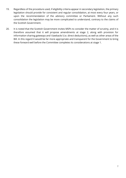- 19. Regardless of the procedure used, if eligibility criteria appear in secondary legislation, the primary legislation should provide for consistent and regular consolidation, at most every four years, or upon the recommendation of the advisory committee or Parliament. Without any such consolidation the legislation may be more complicated to understand, contrary to the claims of the Scottish Government.
- 20. It is noted that the Scottish Government invites MSPs to consider the matter of scrutiny, and it is therefore assumed that it will propose amendments at stage 2, along with provision for information sharing gateways and 'clawbacks' (i.e. direct deductions), as well as other areas of the Bill. In this regard it would be far more appropriate and transparent for the Government to bring these forward well before the Committee completes its considerations at stage 1.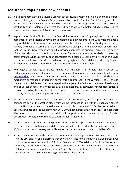#### **Assistance, top-ups and new benefits**

- 21. It is important that the Bill delivers a Scottish social security system which looks and feels different from the UK system for Scotland's most vulnerable people. The first Social Security Act of the Scottish Parliament should be a watershed moment in the progress of devolution, however Scottish Labour is patently aware that the Bill fails to deliver a system which underwrites the rhetoric and warm words of the Scottish Government.
- 22. In preparation for this Bill, Labour in the Scottish Parliament successfully sought and obtained the agreement of the Scottish Government to: uprate disability benefits in line with inflation; place a duty on Ministers to maximise incomes; and ban the private sector from having a role in the delivery of disability assessments. It is an unacceptable disregard for the agreement of Parliament that the Scottish Government has failed to provide guarantees in primary legislation. The people of Scotland should be assured that this, or any future government, must abide by these key commitments. While Scottish Labour appreciates the Scottish Government's intention to deliver on these commitments, this should be backed up by legislation. Scottish Labour will bring forward amendments to ensure these commitments are provided for in legislation.
- 23. With regard to uprating assistance in line with inflation, it is notable that responses to parliamentary questions, that reaffirm the commitment to uprate, are undermined by a [financial](http://www.parliament.scot/Social%20Security%20(Scotland)%20Bill/SPBill18FMS052017.pdf)  [memorandum](http://www.parliament.scot/Social%20Security%20(Scotland)%20Bill/SPBill18FMS052017.pdf) which refers only to the power to vary assistance but fails to allude to the mechanism or frequency of uprating, or that this is guaranteed. At the very least, the Bill should place a duty on Ministers to a) have regard to the impact of inflation on the value of assistance, and b) uprate benefits on annual basis, by a set measure. In particular, further clarification is required regarding the benefits that will be uprated as the financial memorandum only states only disability and employment-injury assistance are to be uprated.
- 24. At present Carer's Allowance is uprated by the UK Government, and it is presumed that the component part of the Scottish block grant will be increased in-line with the indexation agreed with the UK Government. It is noted however, that in discussions with SPICe, the overall value of Carers Allowance and the supplement in 2019-20 will not increase beyond the level of Jobseekers Allowance; as a consequence, the additional support provided to carers by the Scottish Government will fall, and the value to carers will fall in real terms.
- 25. Scottish Labour welcomes the transposition of the power to top-up reserved benefits. In keeping with our commitment to increase child benefit by £240 by the end of the decade, and lift up to 30,000 children out of poverty, we will bring forward amendments to top-up child benefit.
- 26. Scottish Labour understands concerns about the way in which provisions have been transposed from the Scotland Act and is alarmed that powers to create new benefits in devolved areas have not been transposed from section 28 of the Scotland Act 2016. While the Scottish Government has barely set out possible uses for powers under this provision, it is vital that a framework is established for future use of these powers. As per the power to top-up, basic rules setting how a new benefit should be brought into legislation should be provided.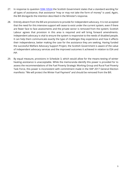- 27. In response to question **S5W-10524** the Scottish Government states that a standard wording for all types of assistance, that assistance "may or may not take the form of money" is used. Again, the Bill disregards the intention described in the Minister's response.
- 28. Entirely absent from the Bill are provisions to provide for independent advocacy. It is not accepted that the need for this intensive support will cease to exist under the current system, even if there are fewer face to face assessments and the private sector is removed from the system; Scottish Labour agrees that provision in this area is required and will bring forward amendments. Independent advocacy is vital to ensure the system is responsive to the needs of disabled people. It can help them communicate exactly the type of challenges they experience and how it affects their independence, better making the case for the assistance they are seeking. Having funded the successful Welfare Advocacy Support Project, the Scottish Government is aware of the value of independent advocacy services and the improved outcomes it achieved in relation to ESA and PIP.
- 29. By equal measure, provisions in Schedule 3, which would allow for the means-testing of winter heating assistance is unacceptable. While the memoranda identify this power is provided for to assess the recommendations of the Fuel Poverty Strategic Working Group and Rural Fuel Poverty Task Force, this power is inconsistent with commitment made in the SNP 2017 General Election manifesto: "We will protect the Winter Fuel Payment" and should be removed from the Bill.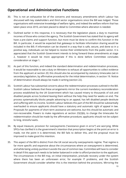### **Operational and Administrative Functions**

- 30. This is not an exhaustive list of the concerns and necessary amendments which Labour has discussed with key stakeholders and third sector organisations since the Bill was lodged. Those organisations with extensive knowledge of welfare rights, and indeed the welfare reform that has taken place since 2010, are best placed to detail to Committee where alteration is needed.
- 31. Outlined earlier in this response, it is necessary that the legislation places a duty to maximise incomes of those who contact the agency. The Scottish Government has stated that its agency will have a pre-claims and support function, but more must be done to confirm this function in the Bill. In particular, it would be expected that gateways to facilitate information sharing would be included in the Bill; if information can be shared in a way that is safe, secure, and done so in a positive way, individuals can be helped to receive their entitlements from the public sector. It is appreciated that the Scottish Government intends to bring forward these amendments at stage 2, however it would be more appropriate if this is done before Committee concludes consideration at stage 1.
- 32. As part of this function, and indeed the standard determination and redetermination processes, it would be reasonable to see a duty on Ministers to exhaust all opportunities to collect evidence from the applicant at section 20; this should also be accompanied by statutory timescales (set in secondary legislation, by affirmative procedure) for the initial determination, in section 19. Notice of determination should always be made in writing (section 22).
- 33. Scottish Labour has substantial concerns about the redetermination processes outlined in the Bill. Scottish Labour believes that these arrangements mirror the current mandatory reconsideration process established by the UK Government which has caused misery to thousands of sick and disabled people across Scotland leaving them without the help they need for weeks on end. The process systematically blocks people advancing to an appeal, has left disabled people destitute and suffering with no income. Scottish Labour believes this part of the Bill should be substantially overhauled to ensure applicants should have a statutory and automatic right of appeal in law. Proposals for payments of short term assistance are welcome, but this should be automatic and non-recoverable. Powers to make regulations at section 23(2)(b), to change the timescales for redetermination should be made by the affirmative procedure; applicants should not be subject to long, stressful waits.
- 34. By equal measure, provision for overpayments ("assistance given in error") are worrying. While SPICe has clarified it is the government's intention that prescription begins at the point an error is made, not the point it is determined, the Bill fails to deliver this, and the proposal must be improved to make good this intention.
- 35. This aspect of the Bill is distinct from the UK social security overpayments regime. That regime is far more specific and expansive about the circumstances where an overpayment is determined, and while being unduly punitive it avoids the use of common law. Committee will have to consider in detail if this approach needs to be better balanced in order to afford protection to the applicant. The circumstances in the Bill may, on initial interpretation, preclude recovery under the system where there has been an unforeseen error, for example IT problems, and the Scottish Government should consider whether this is the intention behind the provisions. Mirroring the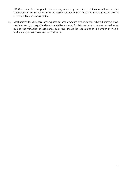UK Government's changes to the overpayments regime, the provisions would mean that payments can be recovered from an individual where Ministers have made an error; this is unreasonable and unacceptable.

36. Mechanisms for disregard are required to accommodate circumstances where Ministers have made an error, but equally where it would be a waste of public resource to recover a small sum; due to the variability in assistance paid, this should be equivalent to a number of weeks entitlement, rather than a set nominal value.